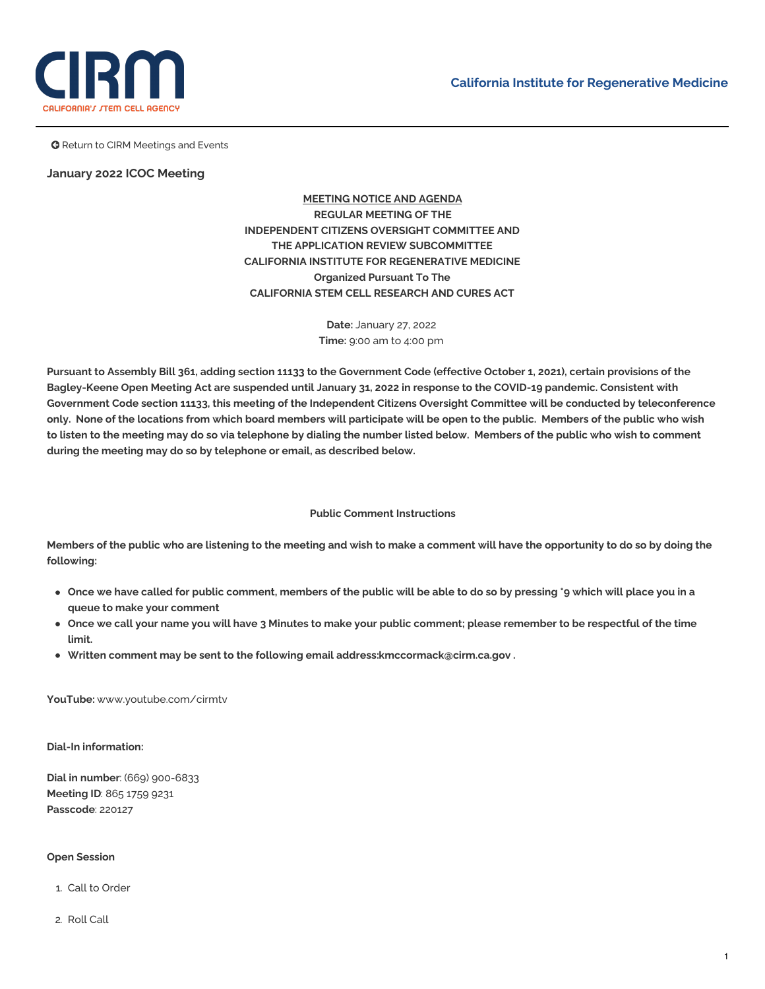

**G** Return to CIRM Meetings and Events

# **January 2022 ICOC Meeting**

**MEETING NOTICE AND AGENDA REGULAR MEETING OF THE INDEPENDENT CITIZENS OVERSIGHT COMMITTEE AND THE APPLICATION REVIEW SUBCOMMITTEE CALIFORNIA INSTITUTE FOR REGENERATIVE MEDICINE Organized Pursuant To The CALIFORNIA STEM CELL RESEARCH AND CURES ACT**

> **Date:** January 27, 2022 **Time:** 9:00 am to 4:00 pm

Pursuant to Assembly Bill 361, adding section 11133 to the Government Code (effective October 1, 2021), certain provisions of the Bagley-Keene Open Meeting Act are suspended until January 31, 2022 in response to the COVID-19 pandemic. Consistent with Government Code section 11133, this meeting of the Independent Citizens Oversight Committee will be conducted by teleconference only. None of the locations from which board members will participate will be open to the public. Members of the public who wish to listen to the meeting may do so via telephone by dialing the number listed below. Members of the public who wish to comment **during the meeting may do so by telephone or email, as described below.**

#### **Public Comment Instructions**

Members of the public who are listening to the meeting and wish to make a comment will have the opportunity to do so by doing the **following:**

- Once we have called for public comment, members of the public will be able to do so by pressing \*9 which will place you in a **queue to make your comment**
- Once we call your name you will have 3 Minutes to make your public comment; please remember to be respectful of the time **limit.**
- **Written comment may be sent to the following email address[:kmccormack@cirm.ca.gov](mailto:kmccormack@cirm.ca.gov) .**

**YouTube:** [www.youtube.com/cirmtv](http://www.youtube.com/cirmtv)

**Dial-In information:**

**Dial in number**: (669) 900-6833 **Meeting ID**: 865 1759 9231 **Passcode**: 220127

# **Open Session**

- 1. Call to Order
- 2. Roll Call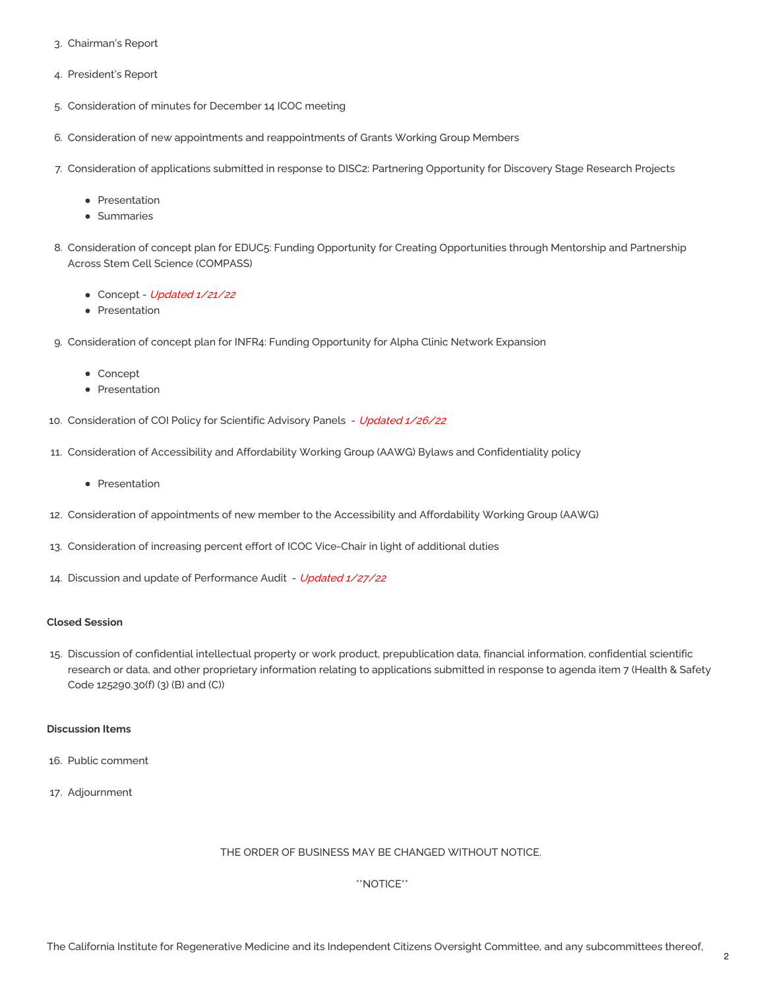- 3. Chairman's Report
- 4. President's Report
- 5. [Consideration](https://www.cirm.ca.gov/sites/default/files/files/agenda/ICOC%20Meeting%20Minutes%20December%2014%252C%202021%20.pdf) of minutes for December 14 ICOC meeting
- 6. Consideration of new appointments and [reappointments](https://www.cirm.ca.gov/sites/default/files/files/agenda/2022_JANUARY_GWG_Appointments%20and%20Reappointments_0.pdf) of Grants Working Group Members
- 7. Consideration of applications submitted in response to DISC2: Partnering Opportunity for Discovery Stage Research Projects
	- [Presentation](https://www.cirm.ca.gov/sites/default/files/files/agenda/2022%20JAN%20ICOC%20DISC2.pdf)
	- [Summaries](https://www.cirm.ca.gov/sites/default/files/files/agenda/ICOC%20Summaries%20Quest%2021.2.pdf)
- 8. Consideration of concept plan for EDUC5: Funding Opportunity for Creating Opportunities through Mentorship and Partnership Across Stem Cell Science (COMPASS)
	- [Concept](https://www.cirm.ca.gov/sites/default/files/files/agenda/EDUC5%20Compass%20Concept%20final.pdf) Updated 1/21/22
	- [Presentation](https://www.cirm.ca.gov/sites/default/files/files/agenda/NEW%20Jan%202022%20ICOC%20EDUC5%20Concept%20Presentation_FINAL%20posting.pdf)
- 9. Consideration of concept plan for INFR4: Funding Opportunity for Alpha Clinic Network Expansion
	- [Concept](https://www.cirm.ca.gov/sites/default/files/files/agenda/INFR4%20Alpha%20Network%20Concept%20Plan_01_05_22_0.pdf)
	- [Presentation](https://www.cirm.ca.gov/sites/default/files/files/agenda/January_27_2022_ICOC_Presentation_1_16_22.pdf)
- 10. [Consideration](https://www.cirm.ca.gov/sites/default/files/files/agenda/Proposed%20COI%20Memo%20and%20Regs.pdf) of COI Policy for Scientific Advisory Panels Updated 1/26/22
- 11. Consideration of Accessibility and Affordability Working Group (AAWG) Bylaws and [Confidentiality](https://www.cirm.ca.gov/sites/default/files/files/agenda/Proposed%20AAWG%20Bylaws%20-27JAN2022.pdf) policy
	- [Presentation](https://www.cirm.ca.gov/sites/default/files/files/agenda/AAWG%20By-Laws%20Explanation.pdf)
- 12. Consideration of [appointments](https://www.cirm.ca.gov/sites/default/files/files/agenda/Memo%20-%20Levitt%20AAWG%20Appointment.pdf) of new member to the Accessibility and Affordability Working Group (AAWG)
- 13. [Consideration](https://www.cirm.ca.gov/sites/default/files/files/agenda/Memo%20-%20Art%20Torres%20full%20time.pdf) of increasing percent effort of ICOC Vice-Chair in light of additional duties
- 14. Discussion and update of [Performance](https://www.cirm.ca.gov/sites/default/files/files/agenda/Memo%20-Performance%20Audit%20Recommendations%20FINAL.pdf) Audit Updated 1/27/22

#### **Closed Session**

15. Discussion of confidential intellectual property or work product, prepublication data, financial information, confidential scientific research or data, and other proprietary information relating to applications submitted in response to agenda item 7 (Health & Safety Code 125290.30(f) (3) (B) and (C))

### **Discussion Items**

- 16. Public comment
- 17. Adjournment

### THE ORDER OF BUSINESS MAY BE CHANGED WITHOUT NOTICE.

### \*\*NOTICE\*\*